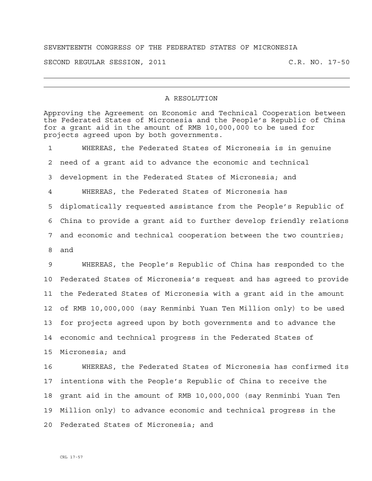## SEVENTEENTH CONGRESS OF THE FEDERATED STATES OF MICRONESIA

SECOND REGULAR SESSION, 2011 C.R. NO. 17-50

## A RESOLUTION

Approving the Agreement on Economic and Technical Cooperation between

the Federated States of Micronesia and the People's Republic of China for a grant aid in the amount of RMB 10,000,000 to be used for projects agreed upon by both governments. 1 WHEREAS, the Federated States of Micronesia is in genuine 2 need of a grant aid to advance the economic and technical 3 development in the Federated States of Micronesia; and 4 WHEREAS, the Federated States of Micronesia has 5 diplomatically requested assistance from the People's Republic of 6 China to provide a grant aid to further develop friendly relations 7 and economic and technical cooperation between the two countries; 8 and 9 WHEREAS, the People's Republic of China has responded to the 10 Federated States of Micronesia's request and has agreed to provide 11 the Federated States of Micronesia with a grant aid in the amount 12 of RMB 10,000,000 (say Renminbi Yuan Ten Million only) to be used 13 for projects agreed upon by both governments and to advance the 14 economic and technical progress in the Federated States of 15 Micronesia; and 16 WHEREAS, the Federated States of Micronesia has confirmed its 17 intentions with the People's Republic of China to receive the 18 grant aid in the amount of RMB 10,000,000 (say Renminbi Yuan Ten 19 Million only) to advance economic and technical progress in the 20 Federated States of Micronesia; and